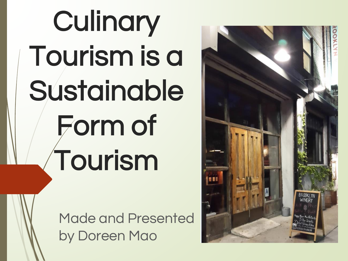# **Culinary** Tourism is a Sustainable Form of Tourism

Made and Presented by Doreen Mao

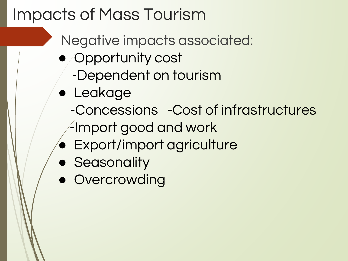## Impacts of Mass Tourism

- Negative impacts associated:
- Opportunity cost -Dependent on tourism
- Leakage
	- -Concessions -Cost of infrastructures
	- -Import good and work
- Export/import agriculture
- **BEA** Seasonality
- Overcrowding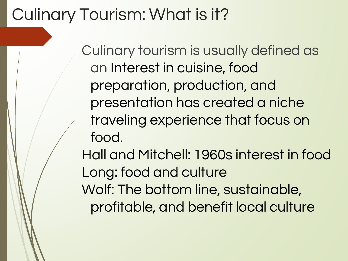## Culinary Tourism: What is it?

Culinary tourism is usually defined as an Interest in cuisine, food preparation, production, and presentation has created a niche traveling experience that focus on food.

Hall and Mitchell: 1960s interest in food Long: food and culture Wolf: The bottom line, sustainable, profitable, and benefit local culture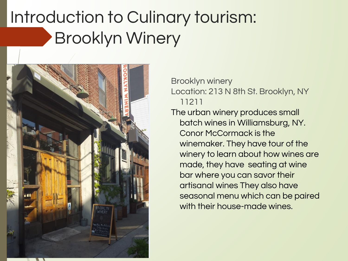## Introduction to Culinary tourism: Brooklyn Winery



Brooklyn winery

Location: 213 N 8th St. Brooklyn, NY 11211

The urban winery produces small batch wines in Williamsburg, NY. Conor McCormack is the winemaker. They have tour of the winery to learn about how wines are made, they have seating at wine bar where you can savor their artisanal wines They also have seasonal menu which can be paired with their house-made wines.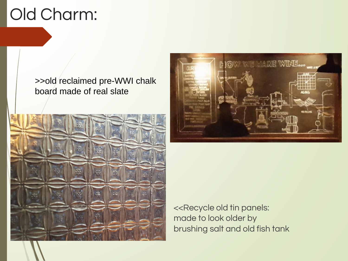## Old Charm:

#### >>old reclaimed pre-WWI chalk board made of real slate





<<Recycle old tin panels: made to look older by brushing salt and old fish tank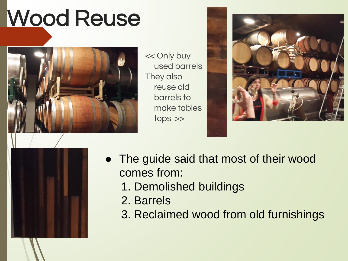## Wood Reuse



<< Only buy used barrels They also reuse old barrels to make tables tops >>





- The guide said that most of their wood comes from:
	- 1. Demolished buildings
	- 2. Barrels
	- 3. Reclaimed wood from old furnishings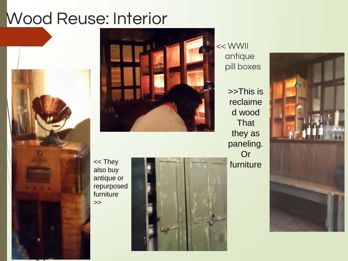#### Wood Reuse: Interior





<< WWII antique pill boxes

>>This is reclaime d wood **That** they as paneling. Or << They **the set of the set of the set of the set of the set of the set of the set of the set of the set of the set of the set of the set of the set of the set of the set of the set of the set of the set of the set of the** 

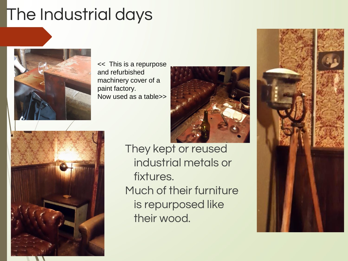## The Industrial days



<< This is a repurpose and refurbished machinery cover of a paint factory. Now used as a table>>





They kept or reused industrial metals or fixtures. Much of their furniture is repurposed like their wood.

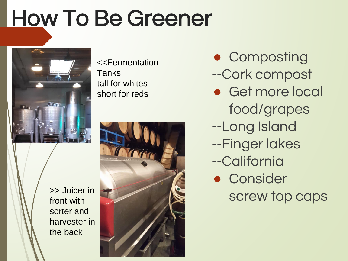## How To Be Greener



>> Juicer in front with sorter and harvester in the back

<<Fermentation Tanks tall for whites short for reds



● Composting

- --Cork compost
- Get more local food/grapes
- --Long Island
- --Finger lakes
- --California
- Consider screw top caps